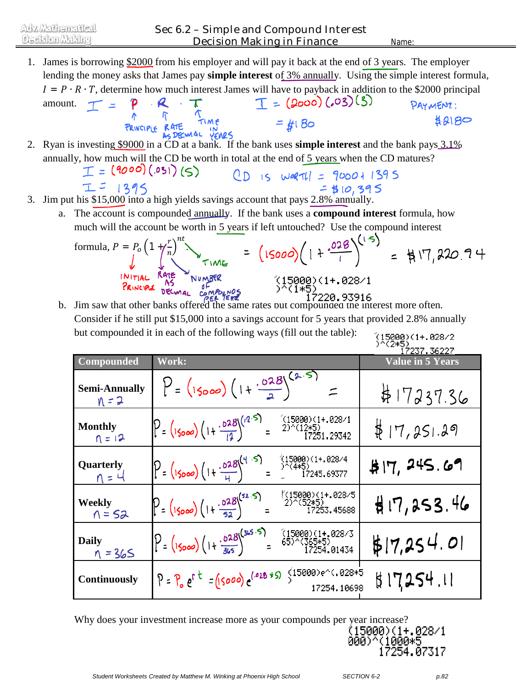- 1. James is borrowing \$2000 from his employer and will pay it back at the end of 3 years. The employer lending the money asks that James pay **simple interest** of 3% annually. Using the simple interest formula,  $I = P \cdot R \cdot T$ , determine how much interest James will have to payback in addition to the \$2000 principal<br>amount.  $T = P \cdot R \cdot T$ <br> $R = (2000)(.03)(3)$ <br> $R = (2000)(.03)(3)$ <br> $R = (2000)(.03)(3)$ <br> $R = (2000)(.03)(3)$ <br> $R = (2000)(.03)(3)$ <br> $R = (2000)(.03)($ amount.  $T =$ PAYMENT :  $=$  #1 Bo  $\sharp$ 2180 2. Ryan is investing \$9000 in a CD at a bank. If the bank uses **simple interest** and the bank pays 3.1% annually, how much will the CD be worth in total at the end of 5 years when the CD matures?  $T = (9000)(.031)(5)$  $OD$  is werth =  $900011395$  $I = 1395$
- $= 410,395$ 3. Jim put his \$15,000 into a high yields savings account that pays 2.8% annually.
	- a. The account is compounded annually. If the bank uses a **compound interest** formula, how much will the account be worth in 5 years if left untouched? Use the compound interest

formula, 
$$
P = P_0 \left(1 + \frac{r}{n}\right)^{nt}
$$
  
\n
$$
= \left(15000\right) \left(1 + \frac{.028}{1}\right)^{(1.5)}
$$
\n
$$
= \frac{1}{17}
$$
 220.74

b. Jim saw that other banks offered the same rates but compounded the interest more often. Consider if he still put \$15,000 into a savings account for 5 years that provided 2.8% annually but compounded it in each of the following ways (fill out the table): (15000)(1+.028/2<br>)^(2\*5)

|                                 |                                                                                                         | 17237.36227             |
|---------------------------------|---------------------------------------------------------------------------------------------------------|-------------------------|
| Compounded                      | Work:                                                                                                   | <b>Value in 5 Years</b> |
| <b>Semi-Annually</b><br>$N = 2$ | $P = (15000)(1 + \frac{.028}{5})^{(2.5)}$                                                               | $\sharp$ 17237.36       |
| <b>Monthly</b><br>$1 = 12$      | $P = (15000) (1 + \frac{.628}{14})^{((2.5)} = \frac{15000}{2} \times 1252.$                             | \$17,251.29             |
| Quarterly<br>$n = 4$            | $(15000)(1+.028/4)$<br>$P = (15000) (1 + \frac{.028}{.40})^{(4.5)} = \frac{15000}{.400}$<br>17245.69377 | \$17, 245.69            |
| <b>Weekly</b><br>$n = 52$       | $P = (15000)(1 + \frac{.028}{52})^{\frac{(52.5)}{2}} = \frac{15000)(1 + .028/5}{17253 \times 1528}$     | H17,253.46              |
| <b>Daily</b><br>$n = 365$       | $P = (15000)(1 + \frac{.028}{365})^{(345.5)}$<br>$(15000)(1+.028/3)$<br>65)^(365*5)<br>17254.01434      | \$17,254.01             |
| <b>Continuously</b>             | $P = P_0 e^{r t} = (15000) e^{(.028 + S)}$ (15000) e^(.028+5)<br>17254.10698                            | 11254.11                |

Why does your investment increase more as your compounds per year increase?



*SECTION 6-2*

*p.82*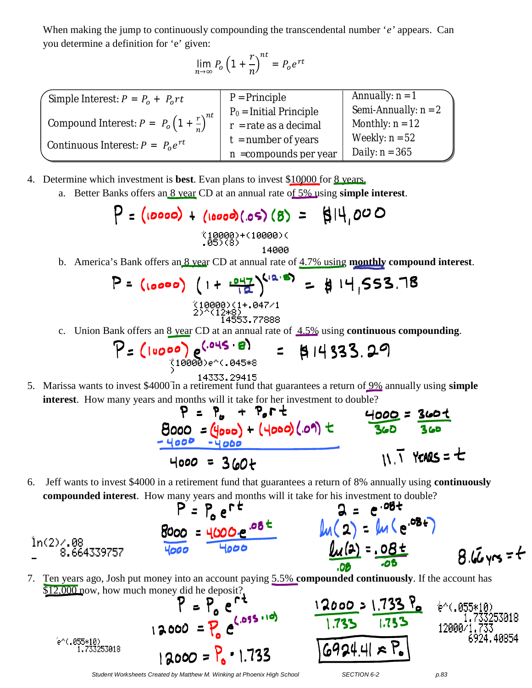When making the jump to continuously compounding the transcendental number '*e'* appears. Can you determine a definition for 'e' given:

$$
\lim_{n \to \infty} P_o \left( 1 + \frac{r}{n} \right)^{nt} = P_o e^{rt}
$$

| Simple Interest: $P = P_0 + P_0 rt$                            | $P = Principle$          | Annually: $n = 1$      |
|----------------------------------------------------------------|--------------------------|------------------------|
|                                                                | $P0$ = Initial Principle | Semi-Annually: $n = 2$ |
| Compound Interest: $P = P_o \left(1 + \frac{r}{r}\right)^{nt}$ | $r =$ rate as a decimal  | Monthly: $n = 12$      |
| Continuous Interest: $P = P_0 e^{rt}$                          | $t =$ number of years    | Weekly: $n = 52$       |
|                                                                | $n =$ compounds per year | Daily: $n = 365$       |

- 4. Determine which investment is **best**. Evan plans to invest \$10000 for 8 years.
	- a. Better Banks offers an 8 year CD at an annual rate of 5% using **simple interest**.

$$
P = (10000) + (10000)(.05)(8) = \frac{10000}{14000}
$$

b. America's Bank offers an 8 year CD at annual rate of 4.7% using **monthly compound interest**.

$$
P = (\text{loop}) (1 + \frac{P_{12}^{41} N^{12.8}}{2}) = \frac{14}{19.553.788}
$$

c. Union Bank offers an 8 year CD at an annual rate of 4.5% using **continuous compounding**.

$$
P = (10000) e^{(.045 \cdot 8)} = 814333.29
$$

5. Marissa wants to invest \$4000 in a retirement fund that guarantees a return of 9% annually using **simple interest**. How many years and months will it take for her investment to double?<br> $\begin{array}{ccc} \n\bullet & \bullet & \bullet \\ \n\bullet & \bullet & \bullet \n\end{array}$ 



6. Jeff wants to invest \$4000 in a retirement fund that guarantees a return of 8% annually using **continuously compounded interest**. How many years and months will it take for his investment to double?

$$
P = P_0 e^{rt}
$$
  
\n $Q = e^{.08t}$   
\n $ln(2) = ln(e^{.08t})$   
\n $ln(2) = 0.8e^{.08t}$   
\n $ln(2) = 0.8e^{.08t}$   
\n $ln(4) = .08e^{.08t}$   
\n $ln(4) = .08e^{.08t}$   
\n $ln(4) = .08e^{.08t}$   
\n $ln(4) = .08e^{.08t}$ 

7. Ten years ago, Josh put money into an account paying 5.5% **compounded continuously**. If the account has

\$12,000 now, how much money did he deposit?<br>  $P = P_0 e^{rt}$ <br>
1 2,000 =  $P_0 e^{(.055 \cdot 10)}$ 2000 = 1.733 53018 12000 24.40854 69244  $12000 = P_0 \cdot 1.733$ 

*Student Worksheets Created by Matthew M. Winking at Phoenix High School SECTION 6-2 p.83*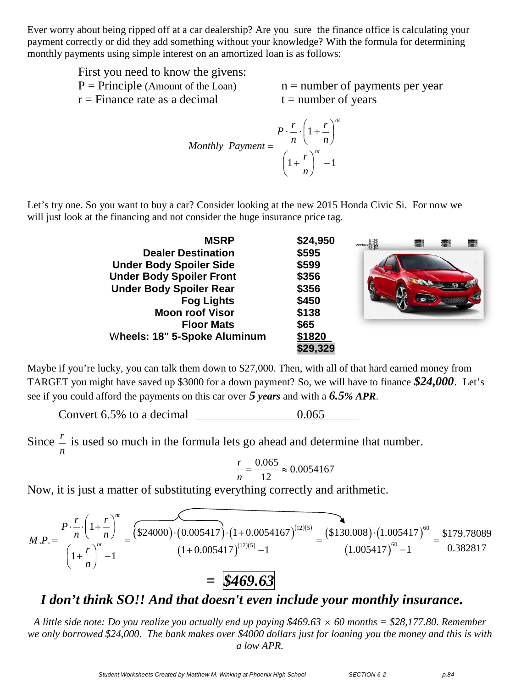Ever worry about being ripped off at a car dealership? Are you sure the finance office is calculating your payment correctly or did they add something without your knowledge? With the formula for determining monthly payments using simple interest on an amortized loan is as follows:

| First you need to know the givens:   |                                   |
|--------------------------------------|-----------------------------------|
| $P = Principle$ (Amount of the Loan) | $n =$ number of payments per year |
| $r =$ Finance rate as a decimal      | $t =$ number of years             |

$$
Monthly\; Payment = \frac{P \cdot \frac{r}{n} \cdot \left(1 + \frac{r}{n}\right)^{nt}}{\left(1 + \frac{r}{n}\right)^{nt}} - 1
$$

Let's try one. So you want to buy a car? Consider looking at the new 2015 Honda Civic Si. For now we will just look at the financing and not consider the huge insurance price tag.

| <b>MSRP</b>                     | \$24,950 | $\blacksquare$ | L. | t i |
|---------------------------------|----------|----------------|----|-----|
| <b>Dealer Destination</b>       | \$595    |                |    |     |
| <b>Under Body Spoiler Side</b>  | \$599    |                |    |     |
| <b>Under Body Spoiler Front</b> | \$356    |                |    |     |
| <b>Under Body Spoiler Rear</b>  | \$356    |                |    |     |
| <b>Fog Lights</b>               | \$450    |                |    |     |
| <b>Moon roof Visor</b>          | \$138    |                |    |     |
| <b>Floor Mats</b>               | \$65     |                |    |     |
| Wheels: 18" 5-Spoke Aluminum    | \$1820   |                |    |     |
|                                 | \$29,329 |                |    |     |

Maybe if you're lucky, you can talk them down to \$27,000. Then, with all of that hard earned money from TARGET you might have saved up \$3000 for a down payment? So, we will have to finance  $$24,000$ . Let's see if you could afford the payments on this car over *5 years* and with a *6.5% APR*.

Convert 6.5% to a decimal 0.065

Since *n*  $\frac{r}{r}$  is used so much in the formula lets go ahead and determine that number.

$$
\frac{r}{n} = \frac{0.065}{12} \approx 0.0054167
$$

Now, it is just a matter of substituting everything correctly and arithmetic.

$$
M.P. = \frac{P \cdot \frac{r}{n} \cdot \left(1 + \frac{r}{n}\right)^{n}}{\left(1 + \frac{r}{n}\right)^{n} - 1} = \frac{(\$24000) \cdot (0.005417) \cdot (1 + 0.0054167)^{(12)(5)}}{\left(1 + 0.005417\right)^{(12)(5)} - 1} = \frac{(\$130.008) \cdot (1.005417)^{60}}{(1.005417)^{60} - 1} = \frac{\$179.78089}{0.382817}
$$
\n
$$
= \boxed{\$\mathbf{469.63}}
$$

## *I don't think SO!! And that doesn't even include your monthly insurance .*

*A little side note: Do you realize you actually end up paying \$469.63 60 months = \$28,177.80. Remember we only borrowed \$24,000. The bank makes over \$4000 dollars just for loaning you the money and this is with a low APR.*